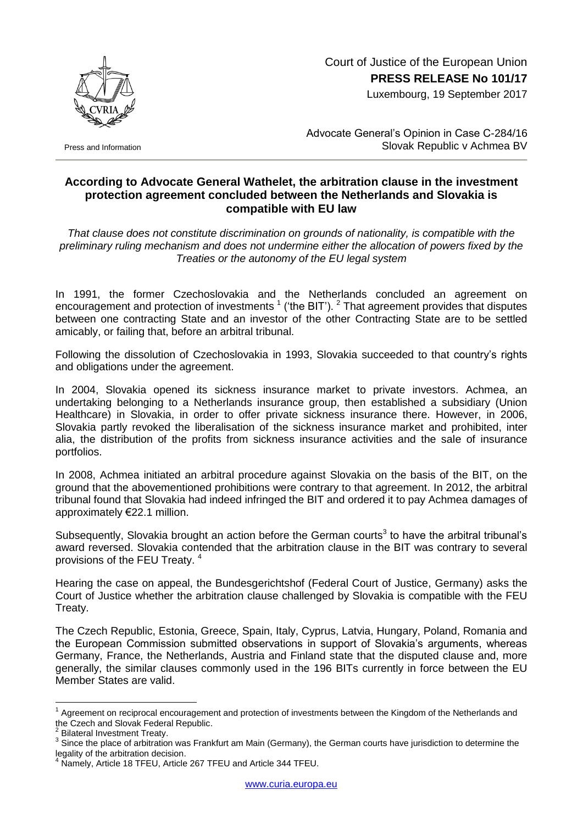Court of Justice of the European Union **PRESS RELEASE No 101/17**

Luxembourg, 19 September 2017



Press and Information

Advocate General's Opinion in Case C-284/16 Slovak Republic v Achmea BV

## **According to Advocate General Wathelet, the arbitration clause in the investment protection agreement concluded between the Netherlands and Slovakia is compatible with EU law**

*That clause does not constitute discrimination on grounds of nationality, is compatible with the preliminary ruling mechanism and does not undermine either the allocation of powers fixed by the Treaties or the autonomy of the EU legal system*

In 1991, the former Czechoslovakia and the Netherlands concluded an agreement on encouragement and protection of investments  $1$  ('the BIT').  $2$  That agreement provides that disputes between one contracting State and an investor of the other Contracting State are to be settled amicably, or failing that, before an arbitral tribunal.

Following the dissolution of Czechoslovakia in 1993, Slovakia succeeded to that country's rights and obligations under the agreement.

In 2004, Slovakia opened its sickness insurance market to private investors. Achmea, an undertaking belonging to a Netherlands insurance group, then established a subsidiary (Union Healthcare) in Slovakia, in order to offer private sickness insurance there. However, in 2006, Slovakia partly revoked the liberalisation of the sickness insurance market and prohibited, inter alia, the distribution of the profits from sickness insurance activities and the sale of insurance portfolios.

In 2008, Achmea initiated an arbitral procedure against Slovakia on the basis of the BIT, on the ground that the abovementioned prohibitions were contrary to that agreement. In 2012, the arbitral tribunal found that Slovakia had indeed infringed the BIT and ordered it to pay Achmea damages of approximately €22.1 million.

Subsequently, Slovakia brought an action before the German courts<sup>3</sup> to have the arbitral tribunal's award reversed. Slovakia contended that the arbitration clause in the BIT was contrary to several provisions of the FEU Treaty. <sup>4</sup>

Hearing the case on appeal, the Bundesgerichtshof (Federal Court of Justice, Germany) asks the Court of Justice whether the arbitration clause challenged by Slovakia is compatible with the FEU Treaty.

The Czech Republic, Estonia, Greece, Spain, Italy, Cyprus, Latvia, Hungary, Poland, Romania and the European Commission submitted observations in support of Slovakia's arguments, whereas Germany, France, the Netherlands, Austria and Finland state that the disputed clause and, more generally, the similar clauses commonly used in the 196 BITs currently in force between the EU Member States are valid.

1

 $1$  Agreement on reciprocal encouragement and protection of investments between the Kingdom of the Netherlands and the Czech and Slovak Federal Republic.

<sup>2</sup> Bilateral Investment Treaty.

<sup>3</sup> Since the place of arbitration was Frankfurt am Main (Germany), the German courts have jurisdiction to determine the legality of the arbitration decision.

Namely, Article 18 TFEU, Article 267 TFEU and Article 344 TFEU.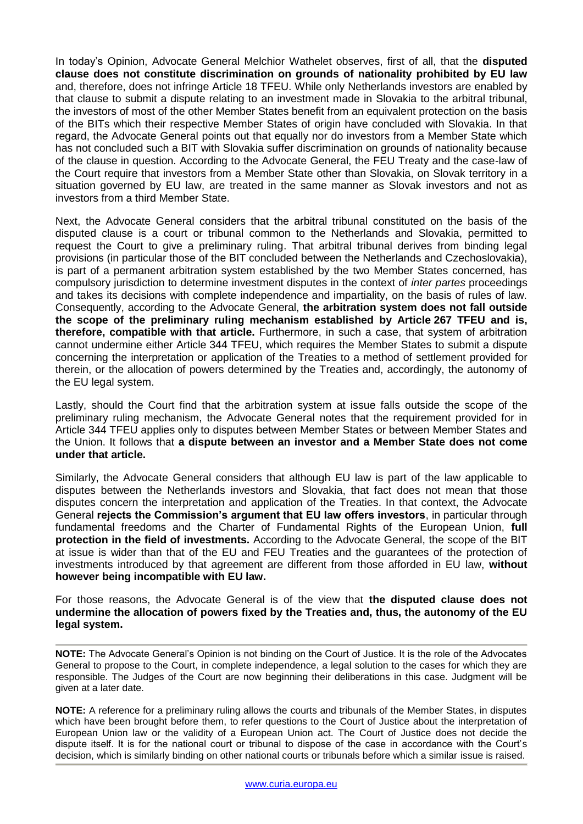In today's Opinion, Advocate General Melchior Wathelet observes, first of all, that the **disputed clause does not constitute discrimination on grounds of nationality prohibited by EU law** and, therefore, does not infringe Article 18 TFEU. While only Netherlands investors are enabled by that clause to submit a dispute relating to an investment made in Slovakia to the arbitral tribunal, the investors of most of the other Member States benefit from an equivalent protection on the basis of the BITs which their respective Member States of origin have concluded with Slovakia. In that regard, the Advocate General points out that equally nor do investors from a Member State which has not concluded such a BIT with Slovakia suffer discrimination on grounds of nationality because of the clause in question. According to the Advocate General, the FEU Treaty and the case-law of the Court require that investors from a Member State other than Slovakia, on Slovak territory in a situation governed by EU law, are treated in the same manner as Slovak investors and not as investors from a third Member State.

Next, the Advocate General considers that the arbitral tribunal constituted on the basis of the disputed clause is a court or tribunal common to the Netherlands and Slovakia, permitted to request the Court to give a preliminary ruling. That arbitral tribunal derives from binding legal provisions (in particular those of the BIT concluded between the Netherlands and Czechoslovakia), is part of a permanent arbitration system established by the two Member States concerned, has compulsory jurisdiction to determine investment disputes in the context of *inter partes* proceedings and takes its decisions with complete independence and impartiality, on the basis of rules of law. Consequently, according to the Advocate General, **the arbitration system does not fall outside the scope of the preliminary ruling mechanism established by Article 267 TFEU and is, therefore, compatible with that article.** Furthermore, in such a case, that system of arbitration cannot undermine either Article 344 TFEU, which requires the Member States to submit a dispute concerning the interpretation or application of the Treaties to a method of settlement provided for therein, or the allocation of powers determined by the Treaties and, accordingly, the autonomy of the EU legal system.

Lastly, should the Court find that the arbitration system at issue falls outside the scope of the preliminary ruling mechanism, the Advocate General notes that the requirement provided for in Article 344 TFEU applies only to disputes between Member States or between Member States and the Union. It follows that **a dispute between an investor and a Member State does not come under that article.**

Similarly, the Advocate General considers that although EU law is part of the law applicable to disputes between the Netherlands investors and Slovakia, that fact does not mean that those disputes concern the interpretation and application of the Treaties. In that context, the Advocate General **rejects the Commission's argument that EU law offers investors**, in particular through fundamental freedoms and the Charter of Fundamental Rights of the European Union, **full protection in the field of investments.** According to the Advocate General, the scope of the BIT at issue is wider than that of the EU and FEU Treaties and the guarantees of the protection of investments introduced by that agreement are different from those afforded in EU law, **without however being incompatible with EU law.**

For those reasons, the Advocate General is of the view that **the disputed clause does not undermine the allocation of powers fixed by the Treaties and, thus, the autonomy of the EU legal system.**

**NOTE:** The Advocate General's Opinion is not binding on the Court of Justice. It is the role of the Advocates General to propose to the Court, in complete independence, a legal solution to the cases for which they are responsible. The Judges of the Court are now beginning their deliberations in this case. Judgment will be given at a later date.

**NOTE:** A reference for a preliminary ruling allows the courts and tribunals of the Member States, in disputes which have been brought before them, to refer questions to the Court of Justice about the interpretation of European Union law or the validity of a European Union act. The Court of Justice does not decide the dispute itself. It is for the national court or tribunal to dispose of the case in accordance with the Court's decision, which is similarly binding on other national courts or tribunals before which a similar issue is raised.